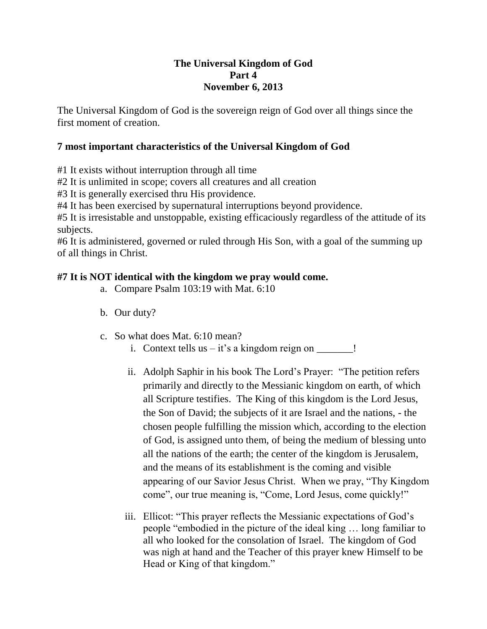## **The Universal Kingdom of God Part 4 November 6, 2013**

The Universal Kingdom of God is the sovereign reign of God over all things since the first moment of creation.

## **7 most important characteristics of the Universal Kingdom of God**

#1 It exists without interruption through all time

#2 It is unlimited in scope; covers all creatures and all creation

#3 It is generally exercised thru His providence.

#4 It has been exercised by supernatural interruptions beyond providence.

#5 It is irresistable and unstoppable, existing efficaciously regardless of the attitude of its subjects.

#6 It is administered, governed or ruled through His Son, with a goal of the summing up of all things in Christ.

## **#7 It is NOT identical with the kingdom we pray would come.**

- a. Compare Psalm 103:19 with Mat. 6:10
- b. Our duty?
- c. So what does Mat. 6:10 mean?
	- i. Context tells us  $-$  it's a kingdom reign on  $\frac{1}{\sqrt{2}}$ .
	- ii. Adolph Saphir in his book The Lord's Prayer: "The petition refers primarily and directly to the Messianic kingdom on earth, of which all Scripture testifies. The King of this kingdom is the Lord Jesus, the Son of David; the subjects of it are Israel and the nations, - the chosen people fulfilling the mission which, according to the election of God, is assigned unto them, of being the medium of blessing unto all the nations of the earth; the center of the kingdom is Jerusalem, and the means of its establishment is the coming and visible appearing of our Savior Jesus Christ. When we pray, "Thy Kingdom come", our true meaning is, "Come, Lord Jesus, come quickly!"
	- iii. Ellicot: "This prayer reflects the Messianic expectations of God's people "embodied in the picture of the ideal king … long familiar to all who looked for the consolation of Israel. The kingdom of God was nigh at hand and the Teacher of this prayer knew Himself to be Head or King of that kingdom."